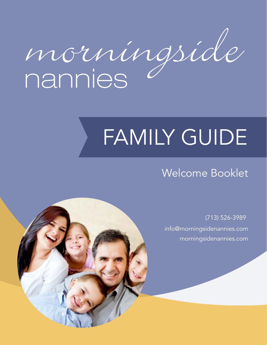morníngsíde

# FAMILY GUIDE

# Welcome Booklet

(713) 526-3989 info@morningsidenannies.com [morningsidenannies.com](https://www.morningsidenannies.com/)

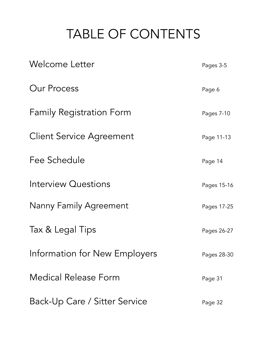# TABLE OF CONTENTS

| <b>Welcome Letter</b>           | Pages 3-5   |
|---------------------------------|-------------|
| <b>Our Process</b>              | Page 6      |
| <b>Family Registration Form</b> | Pages 7-10  |
| <b>Client Service Agreement</b> | Page 11-13  |
| Fee Schedule                    | Page 14     |
| <b>Interview Questions</b>      | Pages 15-16 |
| <b>Nanny Family Agreement</b>   | Pages 17-25 |
| Tax & Legal Tips                | Pages 26-27 |
| Information for New Employers   | Pages 28-30 |
| <b>Medical Release Form</b>     | Page 31     |
| Back-Up Care / Sitter Service   | Page 32     |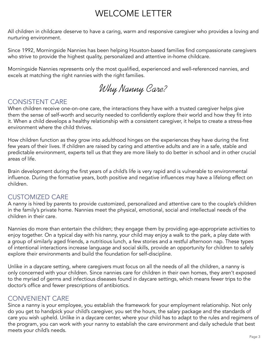# WELCOME LETTER

All children in childcare deserve to have a caring, warm and responsive caregiver who provides a loving and nurturing environment.

Since 1992, Morningside Nannies has been helping Houston-based families find compassionate caregivers who strive to provide the highest quality, personalized and attentive in-home childcare.

Morningside Nannies represents only the most qualified, experienced and well-referenced nannies, and excels at matching the right nannies with the right families.

Why Nanny Care?

# CONSISTENT CARE

When children receive one-on-one care, the interactions they have with a trusted caregiver helps give them the sense of self-worth and security needed to confidently explore their world and how they fit into it. When a child develops a healthy relationship with a consistent caregiver, it helps to create a stress-free environment where the child thrives.

How children function as they grow into adulthood hinges on the experiences they have during the first few years of their lives. If children are raised by caring and attentive adults and are in a safe, stable and predictable environment, experts tell us that they are more likely to do better in school and in other crucial areas of life.

Brain development during the first years of a child's life is very rapid and is vulnerable to environmental influence. During the formative years, both positive and negative influences may have a lifelong effect on children.

# CUSTOMIZED CARE

A nanny is hired by parents to provide customized, personalized and attentive care to the couple's children in the family's private home. Nannies meet the physical, emotional, social and intellectual needs of the children in their care.

Nannies do more than entertain the children; they engage them by providing age-appropriate activities to enjoy together. On a typical day with his nanny, your child may enjoy a walk to the park, a play date with a group of similarly aged friends, a nutritious lunch, a few stories and a restful afternoon nap. These types of intentional interactions increase language and social skills, provide an opportunity for children to safely explore their environments and build the foundation for self-discipline.

Unlike in a daycare setting, where caregivers must focus on all the needs of all the children, a nanny is only concerned with your children. Since nannies care for children in their own homes, they aren't exposed to the myriad of germs and infectious diseases found in daycare settings, which means fewer trips to the doctor's office and fewer prescriptions of antibiotics.

# CONVENIENT CARE

Since a nanny is your employee, you establish the framework for your employment relationship. Not only do you get to handpick your child's caregiver, you set the hours, the salary package and the standards of care you wish upheld. Unlike in a daycare center, where your child has to adapt to the rules and regimens of the program, you can work with your nanny to establish the care environment and daily schedule that best meets your child's needs.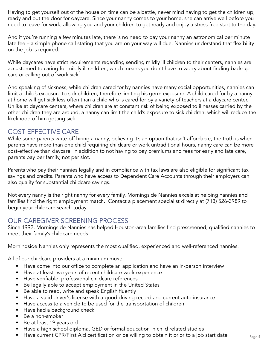Having to get yourself out of the house on time can be a battle, never mind having to get the children up, ready and out the door for daycare. Since your nanny comes to your home, she can arrive well before you need to leave for work, allowing you and your children to get ready and enjoy a stress-free start to the day.

And if you're running a few minutes late, there is no need to pay your nanny an astronomical per minute late fee – a simple phone call stating that you are on your way will due. Nannies understand that flexibility on the job is required.

While daycares have strict requirements regarding sending mildly ill children to their centers, nannies are accustomed to caring for mildly ill children, which means you don't have to worry about finding back-up care or calling out of work sick.

And speaking of sickness, while children cared for by nannies have many social opportunities, nannies can limit a child's exposure to sick children, therefore limiting his germ exposure. A child cared for by a nanny at home will get sick less often than a child who is cared for by a variety of teachers at a daycare center. Unlike at daycare centers, where children are at constant risk of being exposed to illnesses carried by the other children they are around, a nanny can limit the child's exposure to sick children, which will reduce the likelihood of him getting sick.

# COST EFFECTIVE CARE

While some parents write-off hiring a nanny, believing it's an option that isn't affordable, the truth is when parents have more than one child requiring childcare or work untraditional hours, nanny care can be more cost-effective than daycare. In addition to not having to pay premiums and fees for early and late care, parents pay per family, not per slot.

Parents who pay their nannies legally and in compliance with tax laws are also eligible for significant tax savings and credits. Parents who have access to Dependent Care Accounts through their employers can also qualify for substantial childcare savings.

Not every nanny is the right nanny for every family. Morningside Nannies excels at helping nannies and families find the right employment match. Contact a placement specialist directly at (713) 526-3989 to begin your childcare search today.

# OUR CAREGIVER SCREENING PROCESS

Since 1992, Morningside Nannies has helped Houston-area families find prescreened, qualified nannies to meet their family's childcare needs.

Morningside Nannies only represents the most qualified, experienced and well-referenced nannies.

All of our childcare providers at a minimum must:

- Have come into our office to complete an application and have an in-person interview
- Have at least two years of recent childcare work experience
- Have verifiable, professional childcare references
- Be legally able to accept employment in the United States
- Be able to read, write and speak English fluently
- Have a valid driver's license with a good driving record and current auto insurance
- Have access to a vehicle to be used for the transportation of children
- Have had a background check
- Be a non-smoker
- Be at least 19 years old
- Have a high school diploma, GED or formal education in child related studies
- Have current CPR/First Aid certification or be willing to obtain it prior to a job start date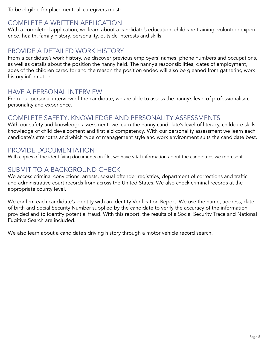To be eligible for placement, all caregivers must:

# COMPLETE A WRITTEN APPLICATION

With a completed application, we learn about a candidate's education, childcare training, volunteer experience, health, family history, personality, outside interests and skills.

# PROVIDE A DETAILED WORK HISTORY

From a candidate's work history, we discover previous employers' names, phone numbers and occupations, as well as details about the position the nanny held. The nanny's responsibilities, dates of employment, ages of the children cared for and the reason the position ended will also be gleaned from gathering work history information.

# HAVE A PERSONAL INTERVIEW

From our personal interview of the candidate, we are able to assess the nanny's level of professionalism, personality and experience.

# COMPLETE SAFETY, KNOWLEDGE AND PERSONALITY ASSESSMENTS

With our safety and knowledge assessment, we learn the nanny candidate's level of literacy, childcare skills, knowledge of child development and first aid competency. With our personality assessment we learn each candidate's strengths and which type of management style and work environment suits the candidate best.

# PROVIDE DOCUMENTATION

With copies of the identifying documents on file, we have vital information about the candidates we represent.

# SUBMIT TO A BACKGROUND CHECK

We access criminal convictions, arrests, sexual offender registries, department of corrections and traffic and administrative court records from across the United States. We also check criminal records at the appropriate county level.

We confirm each candidate's identity with an Identity Verification Report. We use the name, address, date of birth and Social Security Number supplied by the candidate to verify the accuracy of the information provided and to identify potential fraud. With this report, the results of a Social Security Trace and National Fugitive Search are included.

We also learn about a candidate's driving history through a motor vehicle record search.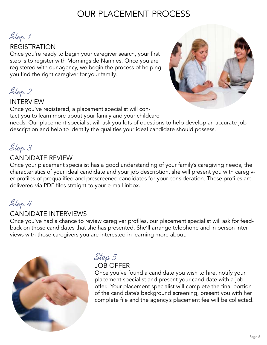# OUR PLACEMENT PROCESS

Step 1

# REGISTRATION

Once you're ready to begin your caregiver search, your first step is to register with Morningside Nannies. Once you are registered with our agency, we begin the process of helping you find the right caregiver for your family.

Step 2

### INTERVIEW

Once you've registered, a placement specialist will contact you to learn more about your family and your childcare needs. Our placement specialist will ask you lots of questions to help develop an accurate job description and help to identify the qualities your ideal candidate should possess.

# Step 3

# CANDIDATE REVIEW

Once your placement specialist has a good understanding of your family's caregiving needs, the characteristics of your ideal candidate and your job description, she will present you with caregiver profiles of prequalified and prescreened candidates for your consideration. These profiles are delivered via PDF files straight to your e-mail inbox.

# Step 4

# CANDIDATE INTERVIEWS

Once you've had a chance to review caregiver profiles, our placement specialist will ask for feedback on those candidates that she has presented. She'll arrange telephone and in person interviews with those caregivers you are interested in learning more about.



# Step 5

### JOB OFFER

Once you've found a candidate you wish to hire, notify your placement specialist and present your candidate with a job offer. Your placement specialist will complete the final portion of the candidate's background screening, present you with her complete file and the agency's placement fee will be collected.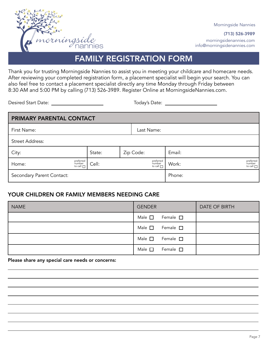

Morningside Nannies

(713) 526-3989 morningsidenannies.com info@morningsidenannies.com

FAMILY REGISTRATION FORM

Thank you for trusting Morningside Nannies to assist you in meeting your childcare and homecare needs. After reviewing your completed registration form, a placement specialist will begin your search. You can also feel free to contact a placement specialist directly any time Monday through Friday between 8:30 AM and 5:00 PM by calling (713) 526-3989. Register Online at MorningsideNannies.com.

Desired Start Date: Today's Date:

| PRIMARY PARENTAL CONTACT  |                                       |        |  |           |                                       |        |                                       |
|---------------------------|---------------------------------------|--------|--|-----------|---------------------------------------|--------|---------------------------------------|
| First Name:               |                                       |        |  |           | Last Name:                            |        |                                       |
| <b>Street Address:</b>    |                                       |        |  |           |                                       |        |                                       |
| City:                     |                                       | State: |  | Zip Code: |                                       | Email: |                                       |
| Home:                     | preferred<br>number<br>to call $\Box$ | Cell:  |  |           | preferred<br>number<br>to call $\Box$ | Work:  | preferred<br>number<br>to call $\Box$ |
| Secondary Parent Contact: |                                       |        |  |           |                                       | Phone: |                                       |

### YOUR CHILDREN OR FAMILY MEMBERS NEEDING CARE

| <b>NAME</b> | <b>GENDER</b>                   | <b>DATE OF BIRTH</b> |
|-------------|---------------------------------|----------------------|
|             | Male $\square$ Female $\square$ |                      |
|             | Male $\square$ Female $\square$ |                      |
|             | Male $\square$ Female $\square$ |                      |
|             | Male $\square$ Female $\square$ |                      |

Please share any special care needs or concerns: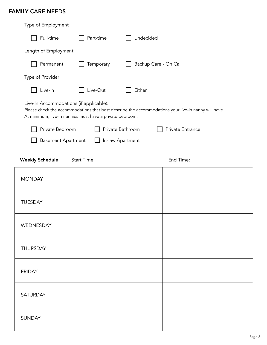# FAMILY CARE NEEDS

| Type of Employment        |                                                                                                     |                                                                                                     |
|---------------------------|-----------------------------------------------------------------------------------------------------|-----------------------------------------------------------------------------------------------------|
| Full-time                 | Part-time                                                                                           | Undecided                                                                                           |
| Length of Employment      |                                                                                                     |                                                                                                     |
| Permanent                 | Temporary                                                                                           | Backup Care - On Call                                                                               |
| Type of Provider          |                                                                                                     |                                                                                                     |
| Live-In                   | Live-Out                                                                                            | Either                                                                                              |
|                           | Live-In Accommodations (if applicable):<br>At minimum, live-in nannies must have a private bedroom. | Please check the accommodations that best describe the accommodations your live-in nanny will have. |
| Private Bedroom           |                                                                                                     | Private Bathroom<br>Private Entrance                                                                |
| <b>Basement Apartment</b> |                                                                                                     | In-law Apartment                                                                                    |
| <b>Weekly Schedule</b>    | <b>Start Time:</b>                                                                                  | End Time:                                                                                           |
| <b>MONDAY</b>             |                                                                                                     |                                                                                                     |
| <b>TUESDAY</b>            |                                                                                                     |                                                                                                     |
| WEDNESDAY                 |                                                                                                     |                                                                                                     |
| <b>THURSDAY</b>           |                                                                                                     |                                                                                                     |
| <b>FRIDAY</b>             |                                                                                                     |                                                                                                     |
| <b>SATURDAY</b>           |                                                                                                     |                                                                                                     |
| <b>SUNDAY</b>             |                                                                                                     |                                                                                                     |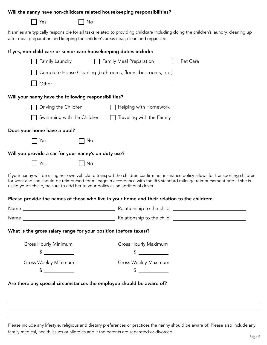#### Will the nanny have non-childcare related housekeeping responsibilities?

| c<br>. . |
|----------|
|          |

T No

Nannies are typically responsible for all tasks related to providing childcare including doing the children's laundry, cleaning up after meal preparation and keeping the children's areas neat, clean and organized.

| If yes, non-child care or senior care housekeeping duties include: |           |                                                                                                                                                                                                                                |                                                                                                                                                                                                                                                                    |
|--------------------------------------------------------------------|-----------|--------------------------------------------------------------------------------------------------------------------------------------------------------------------------------------------------------------------------------|--------------------------------------------------------------------------------------------------------------------------------------------------------------------------------------------------------------------------------------------------------------------|
| $\Box$ Family Laundry                                              |           | Family Meal Preparation                                                                                                                                                                                                        | □ Pet Care                                                                                                                                                                                                                                                         |
|                                                                    |           | Complete House Cleaning (bathrooms, floors, bedrooms, etc.)                                                                                                                                                                    |                                                                                                                                                                                                                                                                    |
|                                                                    |           | Other contracts and contracts of the contracts of the contracts of the contracts of the contracts of the contracts of the contracts of the contracts of the contracts of the contracts of the contracts of the contracts of th |                                                                                                                                                                                                                                                                    |
| Will your nanny have the following responsibilities?               |           |                                                                                                                                                                                                                                |                                                                                                                                                                                                                                                                    |
|                                                                    |           | Driving the Children □ □ □ Helping with Homework                                                                                                                                                                               |                                                                                                                                                                                                                                                                    |
|                                                                    |           | Swimming with the Children $\Box$ Traveling with the Family                                                                                                                                                                    |                                                                                                                                                                                                                                                                    |
| Does your home have a pool?                                        |           |                                                                                                                                                                                                                                |                                                                                                                                                                                                                                                                    |
| Yes                                                                | No        |                                                                                                                                                                                                                                |                                                                                                                                                                                                                                                                    |
| Will you provide a car for your nanny's on duty use?               |           |                                                                                                                                                                                                                                |                                                                                                                                                                                                                                                                    |
| $\blacksquare$ Yes                                                 | $\Box$ No |                                                                                                                                                                                                                                |                                                                                                                                                                                                                                                                    |
|                                                                    |           | using your vehicle, be sure to add her to your policy as an additional driver.                                                                                                                                                 | If your nanny will be using her own vehicle to transport the children confirm her insurance policy allows for transporting children<br>for work and she should be reimbursed for mileage in accordance with the IRS standard mileage reimbursement rate. If she is |
|                                                                    |           | Please provide the names of those who live in your home and their relation to the children:                                                                                                                                    |                                                                                                                                                                                                                                                                    |
|                                                                    |           |                                                                                                                                                                                                                                |                                                                                                                                                                                                                                                                    |
|                                                                    |           |                                                                                                                                                                                                                                |                                                                                                                                                                                                                                                                    |
| What is the gross salary range for your position (before taxes)?   |           |                                                                                                                                                                                                                                |                                                                                                                                                                                                                                                                    |
| Gross Hourly Minimum<br>\$                                         |           | Gross Hourly Maximum<br>\$                                                                                                                                                                                                     |                                                                                                                                                                                                                                                                    |
| Gross Weekly Minimum                                               |           | Gross Weekly Maximum                                                                                                                                                                                                           |                                                                                                                                                                                                                                                                    |
| \$<br><u>and the state</u>                                         |           | \$<br><u>and a strong strong to</u>                                                                                                                                                                                            |                                                                                                                                                                                                                                                                    |
|                                                                    |           | Are there any special circumstances the employee should be aware of?                                                                                                                                                           |                                                                                                                                                                                                                                                                    |
|                                                                    |           |                                                                                                                                                                                                                                |                                                                                                                                                                                                                                                                    |
|                                                                    |           |                                                                                                                                                                                                                                |                                                                                                                                                                                                                                                                    |

Please include any lifestyle, religious and dietary preferences or practices the nanny should be aware of. Please also include any family medical, health issues or allergies and if the parents are separated or divorced.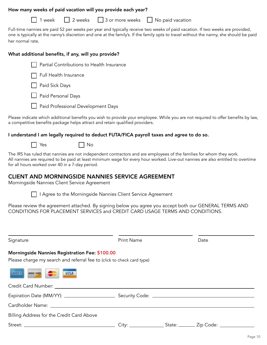#### How many weeks of paid vacation will you provide each year?

 $\Box$  1 week  $\Box$  2 weeks  $\Box$  3 or more weeks  $\Box$  No paid vacation

Full-time nannies are paid 52 per weeks per year and typically receive two weeks of paid vacation. If two weeks are provided, one is typically at the nanny's discretion and one at the family's. If the family opts to travel without the nanny, she should be paid her normal rate.

#### What additional benefits, if any, will you provide?



Full Health Insurance

**Paid Sick Days** 

**Paid Personal Days** 

**Paid Professional Development Days** 

Please indicate which additional benefits you wish to provide your employee. While you are not required to offer benefits by law, a competitive benefits package helps attract and retain qualified providers.

#### I understand I am legally required to deduct FUTA/FICA payroll taxes and agree to do so.

 $\Box$  Yes  $\Box$  No

The IRS has ruled that nannies are not independent contractors and are employees of the families for whom they work. All nannies are required to be paid at least minimum wage for every hour worked. Live-out nannies are also entitled to overtime for all hours worked over 40 in a 7-day period.

#### CLIENT AND MORNINGSIDE NANNIES SERVICE AGREEMENT

Morningside Nannies Client Service Agreement



I Agree to the Morningside Nannies Client Service Agreement

Please review the agreement attached. By signing below you agree you accept both our GENERAL TERMS AND CONDITIONS FOR PLACEMENT SERVICES and CREDIT CARD USAGE TERMS AND CONDITIONS.

| Signature                                                                                                                                                                                                                      | <b>Print Name</b> | Date |
|--------------------------------------------------------------------------------------------------------------------------------------------------------------------------------------------------------------------------------|-------------------|------|
| <b>Morningside Nannies Registration Fee: \$100.00</b><br>Please charge my search and referral fee to (click to check card type)                                                                                                |                   |      |
| <b>AMEX</b><br>VISA<br>DISC VER AND                                                                                                                                                                                            |                   |      |
|                                                                                                                                                                                                                                |                   |      |
|                                                                                                                                                                                                                                |                   |      |
| Cardholder Name: The Card of the Card of the Card of the Card of the Card of the Card of the Card of the Card of the Card of the Card of the Card of the Card of the Card of the Card of the Card of the Card of the Card of t |                   |      |
| Billing Address for the Credit Card Above                                                                                                                                                                                      |                   |      |
|                                                                                                                                                                                                                                |                   |      |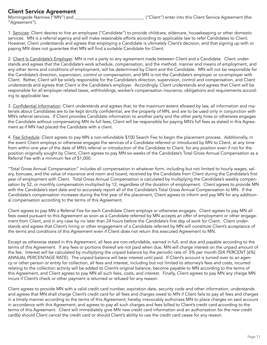#### Client Service Agreement

"Agreement").

1. Services: Client desires to hire an employee ("Candidate") to provide childcare, eldercare, housekeeping or other domestic services. MN is a referral agency and will make reasonable efforts according to applicable law to refer Candidates to Client. However, Client understands and agrees that employing a Candidate is ultimately Client's decision, and that signing up with or paying MN does not guarantee that MN will find a suitable Candidate for Client.

2. Client Is Candidate's Employer: MN is not a party to any agreement made between Client and a Candidate. Client understands and agrees that the Candidate's work schedule, compensation, and the method, manner and means of employment, and any other terms and conditions of employment, will be determined by Client and the Candidate. MN will not be responsible for the Candidate's direction, supervision, control or compensation, and MN is not the Candidate's employer or co-employer with Client. Rather, Client will be solely responsible for the Candidate's direction, supervision, control and compensation, and Client understands and agrees that Client is the Candidate's employer. Accordingly, Client understands and agrees that Client will be responsible for all employer related taxes, withholdings, worker's compensation insurance, obligations and requirements according to applicable law.

3. Confidential Information: Client understands and agrees that, to the maximum extent allowed by law, all information and materials about Candidates are to be kept strictly confidential, are the property of MN, and are to be used only in conjunction with MN's referral services. If Client provides Candidate information to another party and the other party hires or otherwise engages the Candidate without compensating MN its full fees, Client will be responsible for paying MN's full fees as stated in this Agreement as if MN had placed the Candidate with a client.

4. Fee Schedule: Client agrees to pay MN a non-refundable \$100 Search Fee to begin the placement process. Additionally, in the event Client employs or otherwise engages the services of a Candidate referred or introduced by MN to Client, at any time from within one year of the date of MN's referral or introduction of the Candidate to Client, for any position even if not for the position originally sought by Client, Client agrees to pay MN six weeks of the Candidate's Total Gross Annual Compensation as a Referral Fee with a minimum fee of \$1,000.

"Total Gross Annual Compensation" includes all compensation in whatever form, including but not limited to hourly wages, salary, bonuses, and the value of insurance and room and board, received by the Candidate from Client during the Candidate's first year of employment with Client. Total Gross Annual Compensation is calculated by multiplying the Candidate's weekly compensation by 52, or monthly compensation multiplied by 12, regardless of the duration of employment. Client agrees to provide MN with the Candidate's start date and to accurately report all of the Candidate's Total Gross Annual Compensation to MN. If the Candidate's compensation increases during the first year of the placement, Client agrees to inform and pay MN for any additional compensation according to the terms of this Agreement.

Client agrees to pay MN a Referral Fee for each Candidate Client employs or otherwise engages. Client agrees to pay MN all fees owed pursuant to this Agreement as soon as a Candidate referred by MN accepts an offer of employment or other engagement from Client, and in any case by no later than 24 hours before the Candidate's first day of work for Client. Client understands and agrees that Client's hiring or other engagement of a Candidate referred by MN will constitute Client's acceptance of the terms and conditions of this Agreement even if Client does not return this executed Agreement to MN.

Except as otherwise stated in this Agreement, all fees are non-refundable, earned in full, and due and payable according to the terms of this Agreement. If any fees or portions thereof are not paid when due, MN will charge interest on the unpaid amount of the fee. Interest will be calculated by multiplying the unpaid balance by the periodic rate of .5% per month (SIX PERCENT [6%] ANNUAL PERCENTAGE RATE). The unpaid balance will bear interest until paid. If Client's account is turned over to an agency or other person or entity for collection, all fees and interest, including but not limited to attorney's fees and costs, incurred relating to the collection activity will be added to Client's original balance, become payable to MN according to the terms of this Agreement, and Client agrees to pay MN all such fees, costs, and interest. Finally, Client agrees to pay MN any charge MN incurs if Client's check or other payment is returned or refused for any reason.

Client agrees to provide MN with a valid credit card number, expiration date, security code and other information; understands and agrees that MN shall charge Client's credit card for all fees and charges owed to MN if Client fails to pay all fees and charges in a timely manner according to the terms of this Agreement; hereby irrevocably authorizes MN to place charges on said account in accordance with this Agreement; and agrees to pay all such charges and fees billed to Client's credit card according to the terms of this Agreement. Client will immediately give MN new credit card information and an authorization for the new credit card(s) should Client cancel the credit card or should Client's ability to use the credit card cease for any reason.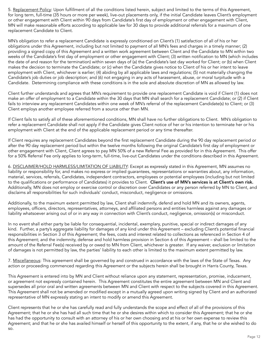5. Replacement Policy: Upon fulfillment of all the conditions listed herein, subject and limited to the terms of this Agreement, for long term, full-time (35 hours or more per week), live-out placements only, if the initial Candidate leaves Client's employment or other engagement with Client within 90 days from Candidate's first day of employment or other engagement with Client, MN will make reasonable efforts according to applicable law for 30 days to provide additional referrals for a maximum of one replacement Candidate to Client.

MN's obligation to refer a replacement Candidate is expressly conditioned on Client's (1) satisfaction of all of his or her obligations under this Agreement, including but not limited to payment of all MN's fees and charges in a timely manner; (2) providing a signed copy of this Agreement and a written work agreement between Client and the Candidate to MN within two weeks of the Candidate's first day of employment or other engagement with Client; (3) written notification to MN (which includes the date of and reason for the termination) within seven days of (a) the Candidate's last day worked for Client; or (b) when Client makes the decision to terminate the Candidate; or (c) when the Candidate gives notice to Client of his or her intent to leave employment with Client, whichever is earlier; (4) abiding by all applicable laws and regulations; (5) not materially changing the Candidate's job duties or job description; and (6) not engaging in any acts of harassment, abuse, or moral turpitude with a Candidate. Determining compliance with these conditions is in the sole and absolute discretion of MN as allowed by law.

Client further understands and agrees that MN's requirement to provide one replacement Candidate is void if Client (1) does not make an offer of employment to a Candidate within the 30 days that MN shall search for a replacement Candidate; or (2) if Client fails to interview any replacement Candidates within one week of MN's referral of the replacement Candidate(s) to Client; or (3) Client employs another employee referred from a source other than MN.

If Client fails to satisfy all of these aforementioned conditions, MN shall have no further obligations to Client. MN's obligation to refer a replacement Candidate shall not apply if the Candidate gives Client notice of her or his intention to terminate her or his employment with Client at the end of the applicable replacement period or any time thereafter.

If Client requires any replacement Candidates beyond the first replacement Candidate during the 90 day replacement period or after the 90 day replacement period but within the twelve months following the original Candidate's first day of employment or other engagement with Client, Client agrees to pay MN 50% of a new Referral Fee as provided for in this Agreement. This offer for a 50% Referral Fee only applies to long-term, full-time, live-out Candidates under the conditions described in this Agreement.

6. DISCLAIMER/HOLD HARMLESS/LIMITATION OF LIABILITY: Except as expressly stated in this Agreement, MN assumes no liability or responsibility for, and makes no express or implied guarantees, representations or warranties about, any information, material, services, referrals, Candidates, independent contractors, employees or potential employees (including but not limited to the qualifications or performance of Candidates) it provides to Client. Client's use of MN's services is at Client's own risk. Additionally, MN does not employ or exercise control or discretion over Candidates or any person referred by MN to Client, and disclaims all responsibilities for such individuals' conduct, misconduct, negligence or omissions.

Additionally, to the maximum extent permitted by law, Client shall indemnify, defend and hold MN and its owners, agents, employees, officers, directors, representatives, attorneys, and affiliated persons and entities harmless against any damages or liability whatsoever arising out of or in any way in connection with Client's conduct, negligence, omission(s) or misconduct.

In no event shall either party be liable for consequential, incidental, exemplary, punitive, special or indirect damages of any kind. Further, a party's aggregate liability for damages of any kind under this Agreement – excluding Client's potential financial responsibilities in Section 3 of this Agreement; the fees, costs and interest related to collections as referenced in Section 4 of this Agreement; and the indemnity, defense and hold harmless provision in Section 6 of this Agreement – shall be limited to the amount of the Referral Fee(s) received by or owed to MN from Client, whichever is greater. If any waiver, exclusion or limitation of damages is not permitted by law, the parties' liability to each other is limited to the maximum extent permitted by law.

7. Miscellaneous: This agreement shall be governed by and construed in accordance with the laws of the State of Texas. Any action or proceeding commenced regarding this Agreement or the subjects herein shall be brought in Harris County, Texas.

This Agreement is entered into by MN and Client without reliance upon any statement, representation, promise, inducement, or agreement not expressly contained herein. This Agreement constitutes the entire agreement between MN and Client and supersedes all prior oral and written agreements between MN and Client with respect to the subjects covered in this Agreement. This Agreement shall not be amended or modified except in a mutually agreed upon writing signed by Client and an authorized representative of MN expressly stating an intent to modify or amend this Agreement.

Client represents that he or she has carefully read and fully understands the scope and effect of all of the provisions of this Agreement; that he or she has had all such time that he or she desires within which to consider this Agreement; that he or she has had the opportunity to consult with an attorney of his or her own choosing and at his or her own expense to review this Agreement; and that he or she has availed himself or herself of this opportunity to the extent, if any, that he or she wished to do so.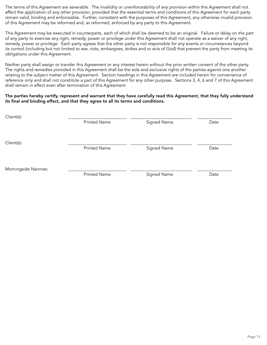The terms of this Agreement are severable. The invalidity or unenforceability of any provision within this Agreement shall not affect the application of any other provision, provided that the essential terms and conditions of this Agreement for each party remain valid, binding and enforceable. Further, consistent with the purposes of this Agreement, any otherwise invalid provision of this Agreement may be reformed and, as reformed, enforced by any party to this Agreement.

This Agreement may be executed in counterparts, each of which shall be deemed to be an original. Failure or delay on the part of any party to exercise any right, remedy, power or privilege under this Agreement shall not operate as a waiver of any right, remedy, power or privilege. Each party agrees that the other party is not responsible for any events or circumstances beyond its control (including but not limited to war, riots, embargoes, strikes and or acts of God) that prevent the party from meeting its obligations under this Agreement.

Neither party shall assign or transfer this Agreement or any interest herein without the prior written consent of the other party. The rights and remedies provided in this Agreement shall be the sole and exclusive rights of the parties against one another relating to the subject matter of this Agreement. Section headings in this Agreement are included herein for convenience of reference only and shall not constitute a part of this Agreement for any other purpose. Sections 3, 4, 6 and 7 of this Agreement shall remain in effect even after termination of this Agreement.

#### The parties hereby certify, represent and warrant that they have carefully read this Agreement, that they fully understand its final and binding effect, and that they agree to all its terms and conditions.

| Client(s):           |                     |             |      |
|----------------------|---------------------|-------------|------|
|                      | <b>Printed Name</b> | Signed Name | Date |
|                      |                     |             |      |
| Client(s):           |                     |             |      |
|                      | <b>Printed Name</b> | Signed Name | Date |
|                      |                     |             |      |
| Morningside Nannies: |                     |             |      |
|                      | <b>Printed Name</b> | Signed Name | Date |
|                      |                     |             |      |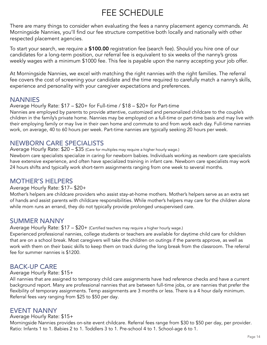# FEE SCHEDULE

There are many things to consider when evaluating the fees a nanny placement agency commands. At Morningside Nannies, you'll find our fee structure competitive both locally and nationally with other respected placement agencies.

To start your search, we require a \$100.00 registration fee (search fee). Should you hire one of our candidates for a long-term position, our referral fee is equivalent to six weeks of the nanny's gross weekly wages with a minimum \$1000 fee. This fee is payable upon the nanny accepting your job offer.

At Morningside Nannies, we excel with matching the right nannies with the right families. The referral fee covers the cost of screening your candidate and the time required to carefully match a nanny's skills, experience and personality with your caregiver expectations and preferences.

### **NANNIES**

#### Average Hourly Rate: \$17 – \$20+ for Full-time / \$18 – \$20+ for Part-time

Nannies are employed by parents to provide attentive, customized and personalized childcare to the couple's children in the family's private home. Nannies may be employed on a full-time or part-time basis and may live with their employing family or may live in their own home and commute to and from work each day. Full-time nannies work, on average, 40 to 60 hours per week. Part-time nannies are typically seeking 20 hours per week.

# NEWBORN CARE SPECIALISTS

Average Hourly Rate: \$20 – \$35 (Care for multiples may require a higher hourly wage.)

Newborn care specialists specialize in caring for newborn babies. Individuals working as newborn care specialists have extensive experience, and often have specialized training in infant care. Newborn care specialists may work 24 hours shifts and typically work short-term assignments ranging from one week to several months.

# MOTHER'S HELPERS

#### Average Hourly Rate: \$17– \$20+

Mother's helpers are childcare providers who assist stay-at-home mothers. Mother's helpers serve as an extra set of hands and assist parents with childcare responsibilities. While mother's helpers may care for the children alone while mom runs an errand, they do not typically provide prolonged unsupervised care.

# SUMMER NANNY

Average Hourly Rate: \$17 - \$20+ (Certified teachers may require a higher hourly wage.)

Experienced professional nannies, college students or teachers are available for daytime child care for children that are on a school break. Most caregivers will take the children on outings if the parents approve, as well as work with them on their basic skills to keep them on track during the long break from the classroom. The referral fee for summer nannies is \$1200.

# BACK-UP CARE

#### Average Hourly Rate: \$15+

All nannies that are assigned to temporary child care assignments have had reference checks and have a current background report. Many are professional nannies that are between full-time jobs, or are nannies that prefer the flexibility of temporary assignments. Temp assignments are 3 months or less. There is a 4 hour daily minimum. Referral fees vary ranging from \$25 to \$50 per day.

### EVENT NANNY

#### Average Hourly Rate: \$15+

Morningside Nannies provides on-site event childcare. Referral fees range from \$30 to \$50 per day, per provider. Ratio: Infants 1 to 1. Babies 2 to 1. Toddlers 3 to 1. Pre-school 4 to 1. School-age 6 to 1.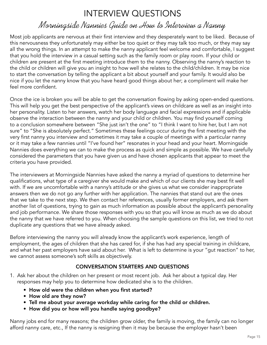# INTERVIEW QUESTIONS

# Morningside Nannies Guide on How to Interview a Nanny

Most job applicants are nervous at their first interview and they desperately want to be liked. Because of this nervousness they unfortunately may either be too quiet or they may talk too much, or they may say all the wrong things. In an attempt to make the nanny applicant feel welcome and comfortable, I suggest that you hold the interview in a casual setting such as the family room or play room. If your child or children are present at the first meeting introduce them to the nanny. Observing the nanny's reaction to the child or children will give you an insight to how well she relates to the child/children. It may be nice to start the conversation by telling the applicant a bit about yourself and your family. It would also be nice if you let the nanny know that you have heard good things about her; a compliment will make her feel more confident.

Once the ice is broken you will be able to get the conversation flowing by asking open-ended questions. This will help you get the best perspective of the applicant's views on childcare as well as an insight into her personality. Listen to her answers, watch her body language and facial expressions and if applicable observe the interaction between the nanny and your child or children. You may find yourself coming to a conclusion somewhere between "She just isn't the one" to "I think I want to hire her, but I am not sure" to "She is absolutely perfect." Sometimes these feelings occur during the first meeting with the very first nanny you interview and sometimes it may take a couple of meetings with a particular nanny or it may take a few nannies until "I've found her" resonates in your head and your heart. Morningside Nannies does everything we can to make the process as quick and simple as possible. We have carefully considered the parameters that you have given us and have chosen applicants that appear to meet the criteria you have provided.

The interviewers at Morningside Nannies have asked the nanny a myriad of questions to determine her qualifications, what type of a caregiver she would make and which of our clients she may best fit well with. If we are uncomfortable with a nanny's attitude or she gives us what we consider inappropriate answers then we do not go any further with her application. The nannies that stand out are the ones that we take to the next step. We then contact her references, usually former employers, and ask them another list of questions, trying to gain as much information as possible about the applicant's personality and job performance. We share those responses with you so that you will know as much as we do about the nanny that we have referred to you. When choosing the sample questions on this list, we tried to not duplicate any questions that we have already asked.

Before interviewing the nanny you will already know the applicant's work experience, length of employment, the ages of children that she has cared for, if she has had any special training in childcare, and what her past employers have said about her. What is left to determine is your "gut reaction" to her, we cannot assess someone's soft skills as objectively.

# CONVERSATION STARTERS AND QUESTIONS

- 1. Ask her about the children on her present or most recent job. Ask her about a typical day. Her responses may help you to determine how dedicated she is to the children.
	- How old were the children when you first started?
	- How old are they now?
	- Tell me about your average workday while caring for the child or children.
	- How did you or how will you handle saying goodbye?

Nanny jobs end for many reasons; the children grow older, the family is moving, the family can no longer afford nanny care, etc., If the nanny is resigning then it may be because the employer hasn't been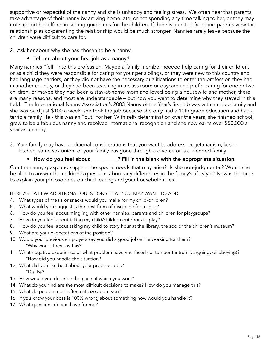supportive or respectful of the nanny and she is unhappy and feeling stress. We often hear that parents take advantage of their nanny by arriving home late, or not spending any time talking to her, or they may not support her efforts in setting guidelines for the children. If there is a united front and parents view this relationship as co-parenting the relationship would be much stronger. Nannies rarely leave because the children were difficult to care for.

2. Ask her about why she has chosen to be a nanny.

### • Tell me about your first job as a nanny?

Many nannies "fell" into this profession. Maybe a family member needed help caring for their children, or as a child they were responsible for caring for younger siblings, or they were new to this country and had language barriers, or they did not have the necessary qualifications to enter the profession they had in another country, or they had been teaching in a class room or daycare and prefer caring for one or two children, or maybe they had been a stay-at-home mom and loved being a housewife and mother, there are many reasons, and most are understandable – but now you want to determine why they stayed in this field. The International Nanny Association's 2003 Nanny of the Year's first job was with a rodeo family and she was paid just \$100 a week, she took the job because she only had a 10th grade education and had a terrible family life - this was an "out" for her. With self- determination over the years, she finished school, grew to be a fabulous nanny and received international recognition and she now earns over \$50,000 a year as a nanny.

3. Your family may have additional considerations that you want to address: vegetarianism, kosher kitchen, same sex union, or your family has gone through a divorce or is a blended family

### • How do you feel about \_\_\_\_\_\_\_\_\_\_? Fill in the blank with the appropriate situation.

Can the nanny grasp and support the special needs that may arise? Is she non-judgmental? Would she be able to answer the children's questions about any differences in the family's life style? Now is the time to explain your philosophies on child rearing and your household rules.

#### HERE ARE A FEW ADDITIONAL QUESTIONS THAT YOU MAY WANT TO ADD:

- 4. What types of meals or snacks would you make for my child/children?
- 5. What would you suggest is the best form of discipline for a child?
- 6. How do you feel about mingling with other nannies, parents and children for playgroups?
- 7. How do you feel about taking my child/children outdoors to play?
- 8. How do you feel about taking my child to story hour at the library, the zoo or the children's museum?
- 9. What are your expectations of the position?
- 10. Would your previous employers say you did a good job while working for them? \*Why would they say this?
- 11. What negative experience or what problem have you faced (ie: temper tantrums, arguing, disobeying)? \*How did you handle the situation?
- 12. What did you like best about your previous jobs? \*Dislike?
- 13. How would you describe the pace at which you work?
- 14. What do you find are the most difficult decisions to make? How do you manage this?
- 15. What do people most often criticize about you?
- 16. If you know your boss is 100% wrong about something how would you handle it?
- 17. What questions do you have for me?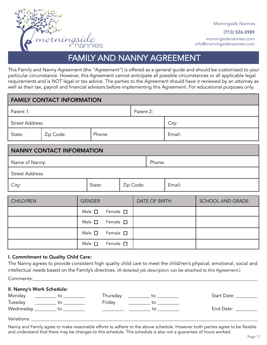

Morningside Nannies

(713) 526-3989

morningsidenannies.com info@morningsidenannies.com

# FAMILY AND NANNY AGREEMENT

This Family and Nanny Agreement (the "Agreement") is offered as a general guide and should be customized to your particular circumstance. However, this Agreement cannot anticipate all possible circumstances or all applicable legal requirements and is NOT legal or tax advice. The parties to the Agreement should have it reviewed by an attorney as well as their tax, payroll and financial advisors before implementing this Agreement. For educational purposes only.

| <b>FAMILY CONTACT INFORMATION</b> |                                    |                                    |                                    |  |                     |               |        |                  |
|-----------------------------------|------------------------------------|------------------------------------|------------------------------------|--|---------------------|---------------|--------|------------------|
| Parent 1:                         |                                    |                                    |                                    |  | Parent 2:           |               |        |                  |
| <b>Street Address:</b>            |                                    |                                    |                                    |  |                     |               | City:  |                  |
| State:                            | Zip Code:                          | Phone:                             |                                    |  |                     |               | Email: |                  |
|                                   | <b>NANNY CONTACT INFORMATION</b>   |                                    |                                    |  |                     |               |        |                  |
| Name of Nanny:                    |                                    |                                    |                                    |  |                     | Phone:        |        |                  |
| <b>Street Address:</b>            |                                    |                                    |                                    |  |                     |               |        |                  |
| City:                             |                                    | State:                             |                                    |  | Zip Code:<br>Email: |               |        |                  |
|                                   |                                    |                                    |                                    |  |                     |               |        |                  |
| <b>CHILD/REN</b>                  |                                    |                                    | <b>GENDER</b>                      |  |                     | DATE OF BIRTH |        | SCHOOL AND GRADE |
|                                   | Male $\square$<br>Female $\square$ |                                    |                                    |  |                     |               |        |                  |
|                                   |                                    |                                    | Male $\square$<br>Female $\square$ |  |                     |               |        |                  |
|                                   |                                    | Male $\square$<br>Female $\square$ |                                    |  |                     |               |        |                  |
|                                   |                                    |                                    | Male $\Box$<br>Female $\square$    |  |                     |               |        |                  |

#### I. Commitment to Quality Child Care:

The Nanny agrees to provide consistent high quality child care to meet the child/ren's physical, emotional, social and intellectual needs based on the Family's directives. (A detailed job description can be attached to this Agreement.)

Comments:\_\_\_\_\_\_\_\_\_\_\_\_\_\_\_\_\_\_\_\_\_\_\_\_\_\_\_\_\_\_\_\_\_\_\_\_\_\_\_\_\_\_\_\_\_\_\_\_\_\_\_\_\_\_\_\_\_\_\_\_\_\_\_\_\_\_\_\_\_\_\_\_\_\_\_\_\_\_\_\_\_\_\_\_\_\_\_\_\_\_\_\_\_\_\_\_\_\_\_\_\_\_\_

| II. Nanny's Work Schedule: |                                   |          |                             |                                                                                                                |
|----------------------------|-----------------------------------|----------|-----------------------------|----------------------------------------------------------------------------------------------------------------|
| Monday                     | $\overline{\phantom{a}}$ to       | Thursday | to                          | Start Date: Start Date:                                                                                        |
| Tuesday                    | $\overline{\phantom{a}}$ to       | Friday   | $\overline{\phantom{a}}$ to |                                                                                                                |
|                            | Wednesday __________ to _________ |          | to                          | End Date: The Senson Sensitive Sensitive Sensitive Sensitive Sensitive Sensitive Sensitive Sensitive Sensitive |
| Variations:                |                                   |          |                             |                                                                                                                |

Nanny and Family agree to make reasonable efforts to adhere to the above schedule. However both parties agree to be flexible and understand that there may be changes to this schedule. This schedule is also not a guarantee of hours worked.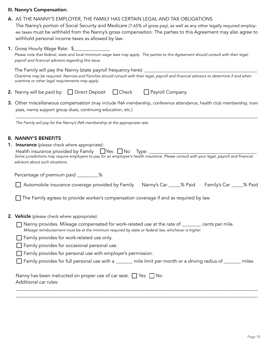#### III. Nanny's Compensation:

#### A. AS THE NANNY'S EMPLOYER, THE FAMILY HAS CERTAIN LEGAL AND TAX OBLIGATIONS

The Nanny's portion of Social Security and Medicare (7.65% of gross pay), as well as any other legally required employee taxes must be withheld from the Nanny's gross compensation. The parties to this Agreement may also agree to withhold personal income taxes as allowed by law.

| <b>1.</b> Gross Hourly Wage Rate: \$                                                                                                        |
|---------------------------------------------------------------------------------------------------------------------------------------------|
| Please note that federal, state and local minimum wage laws may apply. The parties to this Agreement should consult with their legal,       |
| payroll and financial advisors regarding this issue.                                                                                        |
| $\mathcal{L}$ and $\mathcal{L}$ and $\mathcal{L}$ and $\mathcal{L}$ and $\mathcal{L}$ and $\mathcal{L}$ and $\mathcal{L}$ and $\mathcal{L}$ |

The Family will pay the Nanny (state payroll frequency here): \_\_\_\_\_ Overtime may be required. Nannies and Families should consult with their legal, payroll and financial advisors to determine if and when overtime or other legal requirements may apply.

- **2.** Nanny will be paid by:  $\Box$  Direct Deposit  $\Box$  Check  $\Box$  Payroll Company
- 3. Other miscellaneous compensation (may include INA membership, conference attendance, health club membership, train pass, nanny support group dues, continuing education, etc.)

\_\_\_\_\_\_\_\_\_\_\_\_\_\_\_\_\_\_\_\_\_\_\_\_\_\_\_\_\_\_\_\_\_\_\_\_\_\_\_\_\_\_\_\_\_\_\_\_\_\_\_\_\_\_\_\_\_\_\_\_\_\_\_\_\_\_\_\_\_\_\_\_\_\_\_\_\_\_\_\_\_\_\_\_\_\_\_\_\_\_\_\_\_\_\_\_\_\_\_\_\_

The Family will pay for the Nanny's INA membership at the appropriate rate.

#### B. NANNY'S BENEFITS

П

| 1. Insurance (please check where appropriate):                                                                                            |
|-------------------------------------------------------------------------------------------------------------------------------------------|
| Health insurance provided by Family $\Box$ Yes $\Box$ No Type:                                                                            |
| Some jurisdictions may require employers to pay for an employee's health insurance. Please consult with your legal, payroll and financial |
| advisors about such situations.                                                                                                           |

Percentage of premium paid \_\_\_\_\_\_\_\_\_%

| Automobile insurance coverage provided by Family Nanny's Car |  | % Paid Family's Car % Paid |  |
|--------------------------------------------------------------|--|----------------------------|--|
|--------------------------------------------------------------|--|----------------------------|--|

 $\Box$  The Family agrees to provide worker's compensation coverage if and as required by law.

- 2. Vehicle (please check where appropriate):
	- Nanny provides. Mileage compensated for work-related use at the rate of \_\_\_\_\_\_\_\_ cents per mile. Mileage reimbursement must be at the minimum required by state or federal law, whichever is higher.
	- $\Box$  Family provides for work-related use only.
	- Family provides for occasional personal use.
	- $\Box$  Family provides for personal use with employer's permission.
	- $\Box$  Family provides for full personal use with a \_\_\_\_\_\_ mile limit per month or a driving radius of \_\_\_\_\_\_ miles.

\_\_\_\_\_\_\_\_\_\_\_\_\_\_\_\_\_\_\_\_\_\_\_\_\_\_\_\_\_\_\_\_\_\_\_\_\_\_\_\_\_\_\_\_\_\_\_\_\_\_\_\_\_\_\_\_\_\_\_\_\_\_\_\_\_\_\_\_\_\_\_\_\_\_\_\_\_\_\_\_\_\_\_\_\_\_\_\_\_\_\_\_\_\_\_\_\_\_\_\_\_ \_\_\_\_\_\_\_\_\_\_\_\_\_\_\_\_\_\_\_\_\_\_\_\_\_\_\_\_\_\_\_\_\_\_\_\_\_\_\_\_\_\_\_\_\_\_\_\_\_\_\_\_\_\_\_\_\_\_\_\_\_\_\_\_\_\_\_\_\_\_\_\_\_\_\_\_\_\_\_\_\_\_\_\_\_\_\_\_\_\_\_\_\_\_\_\_\_\_\_\_\_

| Nanny has been instructed on proper use of car seat. $\Box$ Yes $\Box$ No |  |
|---------------------------------------------------------------------------|--|
| Additional car rules:                                                     |  |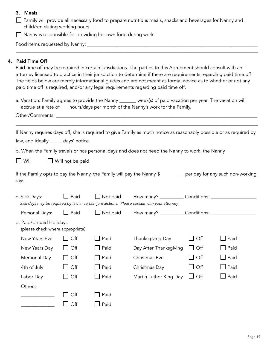#### 3. Meals

| $\Box$ Family will provide all necessary food to prepare nutritious meals, snacks and beverages for Nanny and |  |
|---------------------------------------------------------------------------------------------------------------|--|
| child/ren during working hours.                                                                               |  |

Nanny is responsible for providing her own food during work.

Food items requested by Nanny: \_\_\_\_\_\_\_\_\_\_\_\_\_\_\_\_\_\_\_\_\_\_\_\_\_\_\_\_\_\_\_\_\_\_\_\_\_\_\_\_\_\_\_\_\_\_\_\_\_\_\_\_\_\_\_\_\_\_\_\_\_\_\_\_\_\_\_\_\_\_\_

#### 4. Paid Time Off

Paid time off may be required in certain jurisdictions. The parties to this Agreement should consult with an attorney licensed to practice in their jurisdiction to determine if there are requirements regarding paid time off The fields below are merely informational guides and are not meant as formal advice as to whether or not any paid time off is required, and/or any legal requirements regarding paid time off.

\_\_\_\_\_\_\_\_\_\_\_\_\_\_\_\_\_\_\_\_\_\_\_\_\_\_\_\_\_\_\_\_\_\_\_\_\_\_\_\_\_\_\_\_\_\_\_\_\_\_\_\_\_\_\_\_\_\_\_\_\_\_\_\_\_\_\_\_\_\_\_\_\_\_\_\_\_\_\_\_\_\_\_\_\_\_\_\_\_\_\_\_\_\_\_\_\_\_\_\_\_

| a. Vacation: Family agrees to provide the Nanny _______                          | _ week(s) of paid vacation per year. The vacation will |
|----------------------------------------------------------------------------------|--------------------------------------------------------|
| accrue at a rate of ___ hours/days per month of the Nanny's work for the Family. |                                                        |

Other/Comments: \_\_\_\_\_\_\_\_\_\_\_\_\_\_\_\_\_\_\_\_\_\_\_\_\_\_\_\_\_\_\_\_\_\_\_\_\_\_\_\_\_\_\_\_\_\_\_\_\_\_\_\_\_\_\_\_\_\_\_\_\_\_\_\_\_\_\_\_\_\_\_\_\_\_\_\_\_\_\_\_\_\_\_\_

|                                      | If Nanny requires days off, she is required to give Family as much notice as reasonably possible or as required by |
|--------------------------------------|--------------------------------------------------------------------------------------------------------------------|
| law, and ideally _____ days' notice. |                                                                                                                    |

\_\_\_\_\_\_\_\_\_\_\_\_\_\_\_\_\_\_\_\_\_\_\_\_\_\_\_\_\_\_\_\_\_\_\_\_\_\_\_\_\_\_\_\_\_\_\_\_\_\_\_\_\_\_\_\_\_\_\_\_\_\_\_\_\_\_\_\_\_\_\_\_\_\_\_\_\_\_\_\_\_\_\_\_\_\_\_\_\_\_\_\_\_\_\_\_\_\_\_\_\_

b. When the Family travels or has personal days and does not need the Nanny to work, the Nanny

 $\Box$  Will  $\Box$  Will not be paid

If the Family opts to pay the Nanny, the Family will pay the Nanny \$\_\_\_\_\_\_\_\_\_\_ per day for any such non-working days.

| c. Sick Days:                                               | Paid             | Not paid        | How many? ___________                                                                        | Conditions: _________ |                        |
|-------------------------------------------------------------|------------------|-----------------|----------------------------------------------------------------------------------------------|-----------------------|------------------------|
|                                                             |                  |                 | Sick days may be required by law in certain jurisdictions. Please consult with your attorney |                       |                        |
| Personal Days:                                              | $\Box$ Paid      | $\Box$ Not paid | How many? _____________ Conditions: _________                                                |                       |                        |
| d. Paid/Unpaid Holidays<br>(please check where appropriate) |                  |                 |                                                                                              |                       |                        |
| New Years Eve                                               | Off              | Paid            | Thanksgiving Day                                                                             | $\mathsf{Off}$        | Paid<br>$\blacksquare$ |
| New Years Day                                               | $\overline{Off}$ | LI Paid         | Day After Thanksgiving                                                                       | $\Box$ Off            | $\Box$ Paid            |
| <b>Memorial Day</b>                                         | $\overline{Off}$ | Paid            | Christmas Eve                                                                                | $\Box$ Off            | $\Box$ Paid            |
| 4th of July                                                 | Off              | $\Box$ Paid     | Christmas Day                                                                                | $\Box$ Off            | $\Box$ Paid            |
| Labor Day                                                   | $\overline{Off}$ | Paid            | Martin Luther King Day                                                                       | $\Box$ Off            | Paid<br>$\blacksquare$ |
| Others:                                                     |                  |                 |                                                                                              |                       |                        |
|                                                             | Off              | Paid            |                                                                                              |                       |                        |
|                                                             | Off              | Paid            |                                                                                              |                       |                        |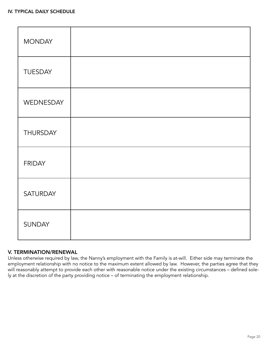| <b>MONDAY</b>   |  |
|-----------------|--|
| <b>TUESDAY</b>  |  |
| WEDNESDAY       |  |
| <b>THURSDAY</b> |  |
| <b>FRIDAY</b>   |  |
| SATURDAY        |  |
| <b>SUNDAY</b>   |  |

#### V. TERMINATION/RENEWAL

Unless otherwise required by law, the Nanny's employment with the Family is at-will. Either side may terminate the employment relationship with no notice to the maximum extent allowed by law. However, the parties agree that they will reasonably attempt to provide each other with reasonable notice under the existing circumstances – defined solely at the discretion of the party providing notice – of terminating the employment relationship.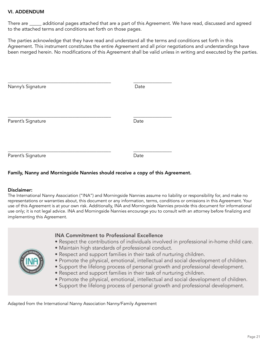#### VI. ADDENDUM

There are \_\_\_\_\_ additional pages attached that are a part of this Agreement. We have read, discussed and agreed to the attached terms and conditions set forth on those pages.

The parties acknowledge that they have read and understand all the terms and conditions set forth in this Agreement. This instrument constitutes the entire Agreement and all prior negotiations and understandings have been merged herein. No modifications of this Agreement shall be valid unless in writing and executed by the parties.

| Nanny's Signature  | Date |
|--------------------|------|
| Parent's Signature | Date |
| Parent's Signature | Date |

#### Family, Nanny and Morningside Nannies should receive a copy of this Agreement.

#### Disclaimer:

The International Nanny Association ("INA") and Morningside Nannies assume no liability or responsibility for, and make no representations or warranties about, this document or any information, terms, conditions or omissions in this Agreement. Your use of this Agreement is at your own risk. Additionally, INA and Morningside Nannies provide this document for informational use only; it is not legal advice. INA and Morningside Nannies encourage you to consult with an attorney before finalizing and implementing this Agreement.

|  | <b>INA Commitment to Professional Excellence</b><br>. Respect the contributions of individuals involved in professional in-home child care.<br>• Maintain high standards of professional conduct.<br>. Respect and support families in their task of nurturing children.<br>. Promote the physical, emotional, intellectual and social development of children.<br>• Support the lifelong process of personal growth and professional development.<br>• Respect and support families in their task of nurturing children.<br>. Promote the physical, emotional, intellectual and social development of children.<br>• Support the lifelong process of personal growth and professional development. |
|--|-----------------------------------------------------------------------------------------------------------------------------------------------------------------------------------------------------------------------------------------------------------------------------------------------------------------------------------------------------------------------------------------------------------------------------------------------------------------------------------------------------------------------------------------------------------------------------------------------------------------------------------------------------------------------------------------------------|
|--|-----------------------------------------------------------------------------------------------------------------------------------------------------------------------------------------------------------------------------------------------------------------------------------------------------------------------------------------------------------------------------------------------------------------------------------------------------------------------------------------------------------------------------------------------------------------------------------------------------------------------------------------------------------------------------------------------------|

Adapted from the International Nanny Association Nanny/Family Agreement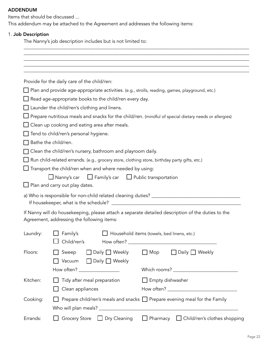#### ADDENDUM

Items that should be discussed ...

This addendum may be attached to the Agreement and addresses the following items:

#### 1. Job Description

The Nanny's job description includes but is not limited to:

|                     | Provide for the daily care of the child/ren:                                                                                                    |
|---------------------|-------------------------------------------------------------------------------------------------------------------------------------------------|
|                     | Plan and provide age-appropriate activities. (e.g., strolls, reading, games, playground, etc.)                                                  |
|                     | Read age-appropriate books to the child/ren every day.                                                                                          |
|                     | $\Box$ Launder the child/ren's clothing and linens.                                                                                             |
|                     | Prepare nutritious meals and snacks for the child/ren. (mindful of special dietary needs or allergies)                                          |
|                     | Clean up cooking and eating area after meals.                                                                                                   |
|                     | Tend to child/ren's personal hygiene.                                                                                                           |
|                     | Bathe the child/ren.                                                                                                                            |
|                     | Clean the child/ren's nursery, bathroom and playroom daily.                                                                                     |
|                     | Run child-related errands. (e.g., grocery store, clothing store, birthday party gifts, etc.)                                                    |
|                     | $\Box$ Nanny's car $\Box$ Family's car $\Box$ Public transportation<br>Plan and carry out play dates.                                           |
|                     |                                                                                                                                                 |
|                     | If Nanny will do housekeeping, please attach a separate detailed description of the duties to the<br>Agreement, addressing the following items: |
|                     | $\Box$ Family's<br>Household items (towels, bed linens, etc.)<br>$\Box$ Child/ren's                                                             |
|                     | Sweep<br>$\Box$ Daily $\Box$ Weekly<br>$\Box$ Mop<br>Daily $\Box$ Weekly<br>$\blacksquare$<br>$\Box$ Daily $\Box$ Weekly<br>Vacuum              |
| Laundry:<br>Floors: | How often? _________________                                                                                                                    |
| Kitchen:            | Tidy after meal preparation<br>$\Box$ Empty dishwasher<br>Clean appliances                                                                      |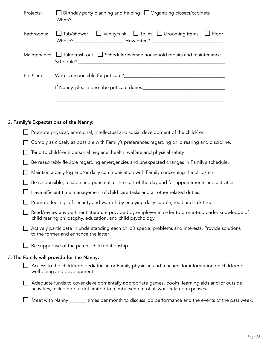| Projects:  | $\Box$ Birthday party planning and helping $\Box$ Organizing closets/cabinets                                                                                                          |
|------------|----------------------------------------------------------------------------------------------------------------------------------------------------------------------------------------|
| Bathrooms: | $\Box$ Tub/shower $\Box$ Vanity/sink $\Box$ Toilet $\Box$ Grooming items $\Box$ Floor                                                                                                  |
|            | Maintenance: $\Box$ Take trash out $\Box$ Schedule/oversee household repairs and maintenance                                                                                           |
| Pet Care:  |                                                                                                                                                                                        |
|            |                                                                                                                                                                                        |
|            |                                                                                                                                                                                        |
|            | 2. Family's Expectations of the Nanny:                                                                                                                                                 |
|            | Promote physical, emotional, intellectual and social development of the child/ren.                                                                                                     |
|            | Comply as closely as possible with Family's preferences regarding child rearing and discipline.                                                                                        |
|            | Tend to child/ren's personal hygiene, health, welfare and physical safety.                                                                                                             |
|            | Be reasonably flexible regarding emergencies and unexpected changes in Family's schedule.                                                                                              |
|            | Maintain a daily log and/or daily communication with Family concerning the child/ren.                                                                                                  |
|            | Be responsible, reliable and punctual at the start of the day and for appointments and activities.                                                                                     |
|            | Have efficient time management of child care tasks and all other related duties.                                                                                                       |
|            | Promote feelings of security and warmth by enjoying daily cuddle, read and talk time.                                                                                                  |
|            | Read/review any pertinent literature provided by employer in order to promote broader knowledge of<br>child rearing philosophy, education, and child psychology.                       |
|            | Actively participate in understanding each child's special problems and interests. Provide solutions<br>to the former and enhance the latter.                                          |
|            | Be supportive of the parent-child relationship.                                                                                                                                        |
|            | 3. The Family will provide for the Nanny:                                                                                                                                              |
|            | Access to the child/ren's pediatrician or Family physician and teachers for information on child/ren's<br>well-being and development.                                                  |
|            | Adequate funds to cover developmentally appropriate games, books, learning aids and/or outside<br>activities, including but not limited to reimbursement of all work-related expenses. |
|            | Meet with Nanny _______ times per month to discuss job performance and the events of the past week.                                                                                    |
|            |                                                                                                                                                                                        |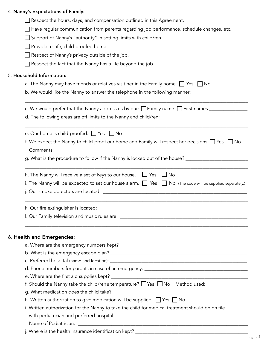#### 4. Nanny's Expectations of Family:

|  |  |  |  |  | Respect the hours, days, and compensation outlined in this Agreement. |  |
|--|--|--|--|--|-----------------------------------------------------------------------|--|
|  |  |  |  |  |                                                                       |  |

Have regular communication from parents regarding job performance, schedule changes, etc.

□ Support of Nanny's "authority" in setting limits with child/ren.

Provide a safe, child-proofed home.

Respect of Nanny's privacy outside of the job.

 $\Box$  Respect the fact that the Nanny has a life beyond the job.

#### 5. Household Information:

a. The Nanny may have friends or relatives visit her in the Family home.  $\Box$  Yes  $\Box$  No

b. We would like the Nanny to answer the telephone in the following manner: \_\_\_\_\_\_\_\_\_\_\_\_\_\_\_\_\_\_\_\_\_\_\_

| c. We would prefer that the Nanny address us by our: $\Box$ Family name $\Box$ First names |  |
|--------------------------------------------------------------------------------------------|--|
| d. The following areas are off limits to the Nanny and child/ren:                          |  |

\_\_\_\_\_\_\_\_\_\_\_\_\_\_\_\_\_\_\_\_\_\_\_\_\_\_\_\_\_\_\_\_\_\_\_\_\_\_\_\_\_\_\_\_\_\_\_\_\_\_\_\_\_\_\_\_\_\_\_\_\_\_\_\_\_\_\_\_\_\_\_\_\_\_\_\_\_\_\_\_\_\_\_\_\_\_\_\_\_\_\_\_\_

\_\_\_\_\_\_\_\_\_\_\_\_\_\_\_\_\_\_\_\_\_\_\_\_\_\_\_\_\_\_\_\_\_\_\_\_\_\_\_\_\_\_\_\_\_\_\_\_\_\_\_\_\_\_\_\_\_\_\_\_\_\_\_\_\_\_\_\_\_\_\_\_\_\_\_\_\_\_\_\_\_\_\_\_\_\_\_\_\_\_\_\_\_

e. Our home is child-proofed.  $\Box$  Yes  $\Box$  No f. We expect the Nanny to child-proof our home and Family will respect her decisions. Yes No

|           |  | f. We expect the Nanny to child-proof our home and Family will respect her decisions. $\Box$ Yes $\Box$ No |  |
|-----------|--|------------------------------------------------------------------------------------------------------------|--|
| Comments: |  |                                                                                                            |  |

g. What is the procedure to follow if the Nanny is locked out of the house? \_\_\_\_\_\_\_\_\_\_\_\_\_\_\_\_\_\_\_\_\_\_\_\_

| h. The Nanny will receive a set of keys to our house. $\Box$ Yes $\Box$ No                                         |  |  |
|--------------------------------------------------------------------------------------------------------------------|--|--|
| i. The Nanny will be expected to set our house alarm. $\Box$ Yes $\Box$ No (The code will be supplied separately.) |  |  |
| j. Our smoke detectors are located:                                                                                |  |  |

\_\_\_\_\_\_\_\_\_\_\_\_\_\_\_\_\_\_\_\_\_\_\_\_\_\_\_\_\_\_\_\_\_\_\_\_\_\_\_\_\_\_\_\_\_\_\_\_\_\_\_\_\_\_\_\_\_\_\_\_\_\_\_\_\_\_\_\_\_\_\_\_\_\_\_\_\_\_\_\_\_\_\_\_\_\_\_\_\_\_\_\_\_ k. Our fire extinguisher is located: \_\_\_\_\_\_\_\_\_\_\_\_\_\_\_\_\_\_\_\_\_\_\_\_\_\_\_\_\_\_\_\_\_\_\_\_\_\_\_\_\_\_\_\_\_\_\_\_\_\_\_\_\_\_\_\_\_\_\_\_\_\_ l. Our Family television and music rules are: \_\_\_\_\_\_\_\_\_\_\_\_\_\_\_\_\_\_\_\_\_\_\_\_\_\_\_\_\_\_\_\_\_\_\_\_\_\_\_\_\_\_\_\_\_\_\_\_\_\_\_\_\_

\_\_\_\_\_\_\_\_\_\_\_\_\_\_\_\_\_\_\_\_\_\_\_\_\_\_\_\_\_\_\_\_\_\_\_\_\_\_\_\_\_\_\_\_\_\_\_\_\_\_\_\_\_\_\_\_\_\_\_\_\_\_\_\_\_\_\_\_\_\_\_\_\_\_\_\_\_\_\_\_\_\_\_\_\_\_\_\_\_\_\_\_\_

#### 6. Health and Emergencies:

| a. Where are the emergency numbers kept? _________                                               |
|--------------------------------------------------------------------------------------------------|
|                                                                                                  |
|                                                                                                  |
|                                                                                                  |
|                                                                                                  |
|                                                                                                  |
|                                                                                                  |
| h. Written authorization to give medication will be supplied. $\Box$ Yes $\Box$ No               |
| i. Written authorization for the Nanny to take the child for medical treatment should be on file |
| with pediatrician and preferred hospital.                                                        |
|                                                                                                  |

Name of Pediatrician: \_\_\_\_\_\_\_\_\_\_\_\_\_\_\_\_\_\_\_\_\_\_\_\_\_\_\_\_\_\_\_\_\_\_\_\_\_\_\_\_\_\_\_\_\_\_\_\_\_\_\_\_\_\_\_\_\_\_\_\_\_\_\_\_\_\_\_\_\_\_\_

j. Where is the health insurance identification kept? \_\_\_\_\_\_\_\_\_\_\_\_\_\_\_\_\_\_\_\_\_\_\_\_\_\_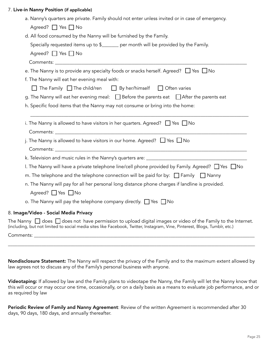#### 7. Live-in Nanny Position (if applicable)

| a. Nanny's quarters are private. Family should not enter unless invited or in case of emergency.                                                                                                                                                         |
|----------------------------------------------------------------------------------------------------------------------------------------------------------------------------------------------------------------------------------------------------------|
| Agreed? $\Box$ Yes $\Box$ No                                                                                                                                                                                                                             |
| d. All food consumed by the Nanny will be furnished by the Family.                                                                                                                                                                                       |
| Specially requested items up to \$______ per month will be provided by the Family.                                                                                                                                                                       |
| Agreed? $\Box$ Yes $\Box$ No                                                                                                                                                                                                                             |
|                                                                                                                                                                                                                                                          |
| e. The Nanny is to provide any specialty foods or snacks herself. Agreed? $\Box$ Yes $\Box$ No                                                                                                                                                           |
| f. The Nanny will eat her evening meal with:                                                                                                                                                                                                             |
| $\Box$ The Family $\Box$ The child/ren $\Box$ By her/himself $\Box$ Often varies                                                                                                                                                                         |
| g. The Nanny will eat her evening meal: $\Box$ Before the parents eat $\Box$ After the parents eat                                                                                                                                                       |
| h. Specific food items that the Nanny may not consume or bring into the home:                                                                                                                                                                            |
|                                                                                                                                                                                                                                                          |
| i. The Nanny is allowed to have visitors in her quarters. Agreed? $\Box$ Yes $\Box$ No                                                                                                                                                                   |
|                                                                                                                                                                                                                                                          |
| j. The Nanny is allowed to have visitors in our home. Agreed? $\Box$ Yes $\Box$ No                                                                                                                                                                       |
|                                                                                                                                                                                                                                                          |
|                                                                                                                                                                                                                                                          |
| I. The Nanny will have a private telephone line/cell phone provided by Family. Agreed? $\Box$ Yes $\Box$ No                                                                                                                                              |
| m. The telephone and the telephone connection will be paid for by: $\Box$ Family $\Box$ Nanny                                                                                                                                                            |
| n. The Nanny will pay for all her personal long distance phone charges if landline is provided.                                                                                                                                                          |
| Agreed? $\Box$ Yes $\Box$ No                                                                                                                                                                                                                             |
| o. The Nanny will pay the telephone company directly. $\Box$ Yes $\Box$ No                                                                                                                                                                               |
| 8. Image/Video - Social Media Privacy                                                                                                                                                                                                                    |
| The Nanny $\,\Box$ does $\,\Box$ does not have permission to upload digital images or video of the Family to the Internet.<br>(including, but not limited to social media sites like Facebook, Twitter, Instagram, Vine, Pinterest, Blogs, Tumblr, etc.) |

Comments: \_\_\_\_\_\_\_\_\_\_\_\_\_\_\_\_\_\_\_\_\_\_\_\_\_\_\_\_\_\_\_\_\_\_\_\_\_\_\_\_\_\_\_\_\_\_\_\_\_\_\_\_\_\_\_\_\_\_\_\_\_\_\_\_\_\_\_\_\_\_\_\_\_\_\_\_\_\_\_\_\_\_\_\_\_\_\_\_\_\_\_\_

Nondisclosure Statement: The Nanny will respect the privacy of the Family and to the maximum extent allowed by law agrees not to discuss any of the Family's personal business with anyone.

\_\_\_\_\_\_\_\_\_\_\_\_\_\_\_\_\_\_\_\_\_\_\_\_\_\_\_\_\_\_\_\_\_\_\_\_\_\_\_\_\_\_\_\_\_\_\_\_\_\_\_\_\_\_\_\_\_\_\_\_\_\_\_\_\_\_\_\_\_\_\_\_\_\_\_\_\_\_\_\_\_\_\_\_\_\_\_\_\_\_\_\_\_\_\_\_\_\_\_\_\_\_\_

Videotaping: If allowed by law and the Family plans to videotape the Nanny, the Family will let the Nanny know that this will occur or may occur one time, occasionally, or on a daily basis as a means to evaluate job performance, and or as required by law

Periodic Review of Family and Nanny Agreement: Review of the written Agreement is recommended after 30 days, 90 days, 180 days, and annually thereafter.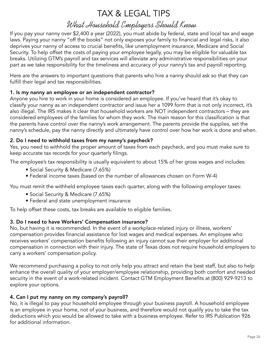# TAX & LEGAL TIPS

# What Household Employers Should Know

If you pay your nanny over \$2,400 a year (2022), you must abide by federal, state and local tax and wage laws. Paying your nanny "off the books" not only exposes your family to financial and legal risks, it also deprives your nanny of access to crucial benefits, like unemployment insurance, Medicare and Social Security. To help offset the costs of paying your employee legally, you may be eligible for valuable tax breaks. Utilizing GTM's payroll and tax services will alleviate any administrative responsibilities on your part as we take responsibility for the timeliness and accuracy of your nanny's tax and payroll reporting.

Here are the answers to important questions that parents who hire a nanny should ask so that they can fulfill their legal and tax responsibilities.

### 1. Is my nanny an employee or an independent contractor?

Anyone you hire to work in your home is considered an employee. If you've heard that it's okay to classify your nanny as an independent contractor and issue her a 1099 form that is not only incorrect, it's also illegal. The IRS makes it clear that household workers are NOT independent contractors – they are considered employees of the families for whom they work. The main reason for this classification is that the parents have control over the nanny's work arrangement. The parents provide the supplies, set the nanny's schedule, pay the nanny directly and ultimately have control over how her work is done and when.

### 2. Do I need to withhold taxes from my nanny's paycheck?

Yes, you need to withhold the proper amount of taxes from each paycheck, and you must make sure to keep accurate tax records for your quarterly filings.

The employee's tax responsibility is usually equivalent to about 15% of her gross wages and includes:

- Social Security & Medicare (7.65%)
- Federal income taxes (based on the number of allowances chosen on Form W-4)

You must remit the withheld employee taxes each quarter, along with the following employer taxes:

- Social Security & Medicare (7.65%)
- Federal and state unemployment insurance

To help offset these costs, tax breaks are available to eligible families.

### 3. Do I need to have Workers' Compensation insurance?

No, but having it is recommended. In the event of a workplace-related injury or illness, workers' compensation provides financial assistance for lost wages and medical expenses. An employee who receives workers' compensation benefits following an injury cannot sue their employer for additional compensation in connection with their injury. The state of Texas does not require household employers to carry a workers' compensation policy.

We recommend purchasing a policy to not only help you attract and retain the best staff, but also to help enhance the overall quality of your employer/employee relationship, providing both comfort and needed security in the event of a work-related incident. Contact GTM Employment Benefits at (800) 929-9213 to explore your options.

### 4. Can I put my nanny on my company's payroll?

No, it is illegal to pay your household employee through your business payroll. A household employee is an employee in your home, not of your business, and therefore would not qualify you to take the tax deductions which you would be allowed to take with a business employee. Refer to [IRS Publication 926](http://www.irs.gov/pub/irs-pdf/p926.pdf) for additional information.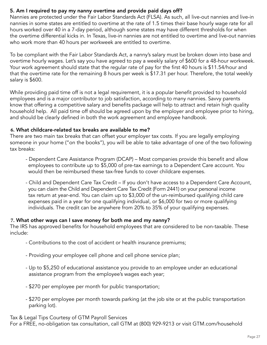### 5. Am I required to pay my nanny overtime and provide paid days off?

Nannies are protected under the Fair Labor Standards Act (FLSA). As such, all live-out nannies and live-in nannies in some states are entitled to overtime at the rate of 1.5 times their base hourly wage rate for all hours worked over 40 in a 7-day period, although some states may have different thresholds for when the overtime differential kicks in. In Texas, live-in nannies are not entitled to overtime and live-out nannies who work more than 40 hours per workweek are entitled to overtime.

To be compliant with the Fair Labor Standards Act, a nanny's salary must be broken down into base and overtime hourly wages. Let's say you have agreed to pay a weekly salary of \$600 for a 48-hour workweek. Your work agreement should state that the regular rate of pay for the first 40 hours is \$11.54/hour and that the overtime rate for the remaining 8 hours per week is \$17.31 per hour. Therefore, the total weekly salary is \$600.

While providing paid time off is not a legal requirement, it is a popular benefit provided to household employees and is a major contributor to job satisfaction, according to many nannies. Savvy parents know that offering a competitive salary and benefits package will help to attract and retain high quality household help. All paid time off should be agreed upon by the employer and employee prior to hiring, and should be clearly defined in both the work agreement and employee handbook.

#### **6.** What childcare-related tax breaks are available to me?

There are two main tax breaks that can offset your employer tax costs. If you are legally employing someone in your home ("on the books"), you will be able to take advantage of one of the two following tax breaks:

- Dependent Care Assistance Program (DCAP) Most companies provide this benefit and allow employees to contribute up to \$5,000 of pre-tax earnings to a Dependent Care account. You would then be reimbursed these tax-free funds to cover childcare expenses.
- Child and Dependent Care Tax Credit If you don't have access to a Dependent Care Account, you can claim the Child and Dependent Care Tax Credit (Form 2441) on your personal income tax return at year-end. You can claim up to \$3,000 of the un-reimbursed qualifying child care expenses paid in a year for one qualifying individual, or \$6,000 for two or more qualifying individuals. The credit can be anywhere from 20% to 35% of your qualifying expenses.

#### **7.** What other ways can I save money for both me and my nanny?

The IRS has approved benefits for household employees that are considered to be non-taxable. These include:

- Contributions to the cost of accident or health insurance premiums;
- Providing your employee cell phone and cell phone service plan;
- Up to \$5,250 of educational assistance you provide to an employee under an educational assistance program from the employee's wages each year;
- \$270 per employee per month for public transportation;
- \$270 per employee per month towards parking (at the job site or at the public transportation parking lot).

Tax & Legal Tips Courtesy of GTM Payroll Services

For a FREE, no-obligation tax consultation, call GTM at (800) 929-9213 or visit GTM.com/household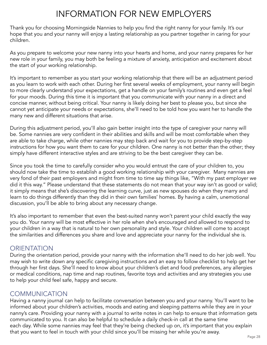# INFORMATION FOR NEW EMPLOYERS

Thank you for choosing Morningside Nannies to help you find the right nanny for your family. It's our hope that you and your nanny will enjoy a lasting relationship as you partner together in caring for your children.

As you prepare to welcome your new nanny into your hearts and home, and your nanny prepares for her new role in your family, you may both be feeling a mixture of anxiety, anticipation and excitement about the start of your working relationship.

It's important to remember as you start your working relationship that there will be an adjustment period as you learn to work with each other. During her first several weeks of employment, your nanny will begin to more clearly understand your expectations, get a handle on your family's routines and even get a feel for your moods. During this time it is important that you communicate with your nanny in a direct and concise manner, without being critical. Your nanny is likely doing her best to please you, but since she cannot yet anticipate your needs or expectations, she'll need to be told how you want her to handle the many new and different situations that arise.

During this adjustment period, you'll also gain better insight into the type of caregiver your nanny will be. Some nannies are very confident in their abilities and skills and will be most comfortable when they are able to take charge, while other nannies may step back and wait for you to provide step-by-step instructions for how you want them to care for your children. One nanny is not better than the other; they simply have different interactive styles and are striving to be the best caregiver they can be.

Since you took the time to carefully consider who you would entrust the care of your children to, you should now take the time to establish a good working relationship with your caregiver. Many nannies are very fond of their past employers and might from time to time say things like, "With my past employer we did it this way." Please understand that these statements do not mean that your way isn't as good or valid; it simply means that she's discovering the learning curve, just as new spouses do when they marry and learn to do things differently than they did in their own families' homes. By having a calm, unemotional discussion, you'll be able to bring about any necessary change.

It's also important to remember that even the best-suited nanny won't parent your child exactly the way you do. Your nanny will be most effective in her role when she's encouraged and allowed to respond to your children in a way that is natural to her own personality and style. Your children will come to accept the similarities and differences you share and love and appreciate your nanny for the individual she is.

# **ORIENTATION**

During the orientation period, provide your nanny with the information she'll need to do her job well. You may wish to write down any specific caregiving instructions and an easy to follow checklist to help get her through her first days. She'll need to know about your children's diet and food preferences, any allergies or medical conditions, nap time and nap routines, favorite toys and activities and any strategies you use to help your child feel safe, happy and secure.

# COMMUNICATION

Having a nanny journal can help to facilitate conversation between you and your nanny. You'll want to be informed about your children's activities, moods and eating and sleeping patterns while they are in your nanny's care. Providing your nanny with a journal to write notes in can help to ensure that information gets communicated to you. It can also be helpful to schedule a daily check-in call at the same time each day. While some nannies may feel that they're being checked up on, it's important that you explain that you want to feel in touch with your child since you'll be missing her while you're away.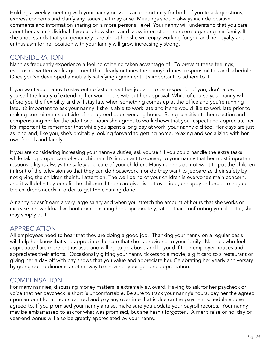Holding a weekly meeting with your nanny provides an opportunity for both of you to ask questions, express concerns and clarify any issues that may arise. Meetings should always include positive comments and information sharing on a more personal level. Your nanny will understand that you care about her as an individual if you ask how she is and show interest and concern regarding her family. If she understands that you genuinely care about her she will enjoy working for you and her loyalty and enthusiasm for her position with your family will grow increasingly strong.

# **CONSIDERATION**

Nannies frequently experience a feeling of being taken advantage of. To prevent these feelings, establish a written work agreement that clearly outlines the nanny's duties, responsibilities and schedule. Once you've developed a mutually satisfying agreement, it's important to adhere to it.

If you want your nanny to stay enthusiastic about her job and to be respectful of you, don't allow yourself the luxury of extending her work hours without her approval. While of course your nanny will afford you the flexibility and will stay late when something comes up at the office and you're running late, it's important to ask your nanny if she is able to work late and if she would like to work late prior to making commitments outside of her agreed upon working hours. Being sensitive to her reaction and compensating her for the additional hours she agrees to work shows that you respect and appreciate her. It's important to remember that while you spent a long day at work, your nanny did too. Her days are just as long and, like you, she's probably looking forward to getting home, relaxing and socializing with her own friends and family.

If you are considering increasing your nanny's duties, ask yourself if you could handle the extra tasks while taking proper care of your children. It's important to convey to your nanny that her most important responsibility is always the safety and care of your children. Many nannies do not want to put the children in front of the television so that they can do housework, nor do they want to jeopardize their safety by not giving the children their full attention. The well being of your children is everyone's main concern, and it will definitely benefit the children if their caregiver is not overtired, unhappy or forced to neglect the children's needs in order to get the cleaning done.

A nanny doesn't earn a very large salary and when you stretch the amount of hours that she works or increase her workload without compensating her appropriately, rather than confronting you about it, she may simply quit.

# APPRECIATION

All employees need to hear that they are doing a good job. Thanking your nanny on a regular basis will help her know that you appreciate the care that she is providing to your family. Nannies who feel appreciated are more enthusiastic and willing to go above and beyond if their employer notices and appreciates their efforts. Occasionally gifting your nanny tickets to a movie, a gift card to a restaurant or giving her a day off with pay shows that you value and appreciate her. Celebrating her yearly anniversary by going out to dinner is another way to show her your genuine appreciation.

# **COMPENSATION**

For many nannies, discussing money matters is extremely awkward. Having to ask for her paycheck or voice that her paycheck is short is uncomfortable. Be sure to track your nanny's hours, pay her the agreed upon amount for all hours worked and pay any overtime that is due on the payment schedule you've agreed to. If you promised your nanny a raise, make sure you update your payroll records. Your nanny may be embarrassed to ask for what was promised, but she hasn't forgotten. A merit raise or holiday or year-end bonus will also be greatly appreciated by your nanny.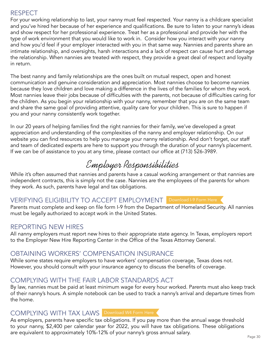# RESPECT

For your working relationship to last, your nanny must feel respected. Your nanny is a childcare specialist and you've hired her because of her experience and qualifications. Be sure to listen to your nanny's ideas and show respect for her professional experience. Treat her as a professional and provide her with the type of work environment that you would like to work in. Consider how you interact with your nanny and how you'd feel if your employer interacted with you in that same way. Nannies and parents share an intimate relationship, and oversights, harsh interactions and a lack of respect can cause hurt and damage the relationship. When nannies are treated with respect, they provide a great deal of respect and loyalty in return.

The best nanny and family relationships are the ones built on mutual respect, open and honest communication and genuine consideration and appreciation. Most nannies choose to become nannies because they love children and love making a difference in the lives of the families for whom they work. Most nannies leave their jobs because of difficulties with the parents, not because of difficulties caring for the children. As you begin your relationship with your nanny, remember that you are on the same team and share the same goal of providing attentive, quality care for your children. This is sure to happen if you and your nanny consistently work together.

In our 20 years of helping families find the right nannies for their family, we've developed a great appreciation and understanding of the complexities of the nanny and employer relationship. On our website you can find resources to help you manage your nanny relationship. And don't forget, our staff and team of dedicated experts are here to support you through the duration of your nanny's placement. If we can be of assistance to you at any time, please contact our office at (713) 526-3989.

Employer Responsibilities

While it's often assumed that nannies and parents have a casual working arrangement or that nannies are independent contracts, this is simply not the case. Nannies are the employees of the parents for whom they work. As such, parents have legal and tax obligations.

# VERIFYING ELIGIBILITY TO ACCEPT EMPLOYMENT [Download I-9 Form Here](http://www.uscis.gov/files/form/i-9.pdf)

Parents must complete and keep on file [form I-9](http://www.uscis.gov/files/form/i-9.pdf) from the Department of Homeland Security. All nannies must be legally authorized to accept work in the United States.

# REPORTING NEW HIRES

All nanny employers must report new hires to their appropriate state agency. In Texas, employers report to the Employer New Hire Reporting Center in the Office of the Texas Attorney General.

# OBTAINING WORKERS' COMPENSATION INSURANCE

While some states require employers to have workers' compensation coverage, Texas does not. However, you should consult with your insurance agency to discuss the benefits of coverage.

# COMPLYING WITH THE FAIR LABOR STANDARDS ACT

By law, nannies must be paid at least minimum wage for every hour worked. Parents must also keep track of their nanny's hours. A simple notebook can be used to track a nanny's arrival and departure times from the home.

# COMPLYING WITH TAX LAWS [Download W4 Form Here](http://www.irs.gov/pub/irs-pdf/fw4.pdf)

As employers, parents have specific tax obligations. If you pay more than the annual wage threshold to your nanny, \$2,400 per calendar year for 2022, you will have tax obligations. These obligations are equivalent to approximately 10%-12% of your nanny's gross annual salary.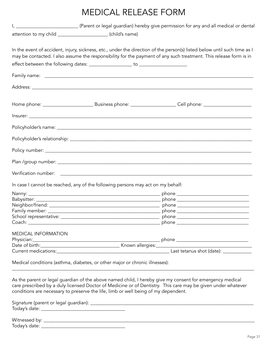# MEDICAL RELEASE FORM

|                            | attention to my child _______________________ (child's name)                       |                                                                                                                                                                                                                                               |
|----------------------------|------------------------------------------------------------------------------------|-----------------------------------------------------------------------------------------------------------------------------------------------------------------------------------------------------------------------------------------------|
|                            |                                                                                    | In the event of accident, injury, sickness, etc., under the direction of the person(s) listed below until such time as I<br>may be contacted. I also assume the responsibility for the payment of any such treatment. This release form is in |
|                            |                                                                                    |                                                                                                                                                                                                                                               |
|                            |                                                                                    |                                                                                                                                                                                                                                               |
|                            |                                                                                    |                                                                                                                                                                                                                                               |
|                            |                                                                                    |                                                                                                                                                                                                                                               |
|                            |                                                                                    |                                                                                                                                                                                                                                               |
|                            |                                                                                    |                                                                                                                                                                                                                                               |
|                            |                                                                                    |                                                                                                                                                                                                                                               |
|                            |                                                                                    |                                                                                                                                                                                                                                               |
|                            |                                                                                    |                                                                                                                                                                                                                                               |
|                            |                                                                                    |                                                                                                                                                                                                                                               |
|                            | In case I cannot be reached, any of the following persons may act on my behalf:    |                                                                                                                                                                                                                                               |
|                            |                                                                                    |                                                                                                                                                                                                                                               |
|                            |                                                                                    |                                                                                                                                                                                                                                               |
|                            |                                                                                    |                                                                                                                                                                                                                                               |
|                            |                                                                                    |                                                                                                                                                                                                                                               |
|                            |                                                                                    |                                                                                                                                                                                                                                               |
|                            |                                                                                    |                                                                                                                                                                                                                                               |
| <b>MEDICAL INFORMATION</b> |                                                                                    |                                                                                                                                                                                                                                               |
|                            |                                                                                    |                                                                                                                                                                                                                                               |
|                            |                                                                                    |                                                                                                                                                                                                                                               |
|                            |                                                                                    |                                                                                                                                                                                                                                               |
|                            | Medical conditions (asthma, diabetes, or other major or chronic illnesses):        |                                                                                                                                                                                                                                               |
|                            | conditions are necessary to preserve the life, limb or well being of my dependent. | As the parent or legal guardian of the above named child, I hereby give my consent for emergency medical<br>care prescribed by a duly licensed Doctor of Medicine or of Dentistry. This care may be given under whatever                      |

| Signature (parent or legal guardian): _ |  |  |
|-----------------------------------------|--|--|
| Today's date: _                         |  |  |
|                                         |  |  |

Witnessed by: \_\_\_\_\_\_\_\_\_\_\_\_\_\_\_\_\_\_\_\_\_\_\_\_\_\_\_\_\_\_\_\_\_\_\_\_\_\_\_\_\_\_\_\_\_\_\_\_\_\_\_\_\_\_\_\_\_\_\_\_\_\_\_\_\_\_\_\_\_\_\_\_\_\_\_\_\_\_\_\_\_\_\_\_\_\_\_\_ Today's date: \_\_\_\_\_\_\_\_\_\_\_\_\_\_\_\_\_\_\_\_\_\_\_\_\_\_\_\_\_\_\_\_\_\_\_